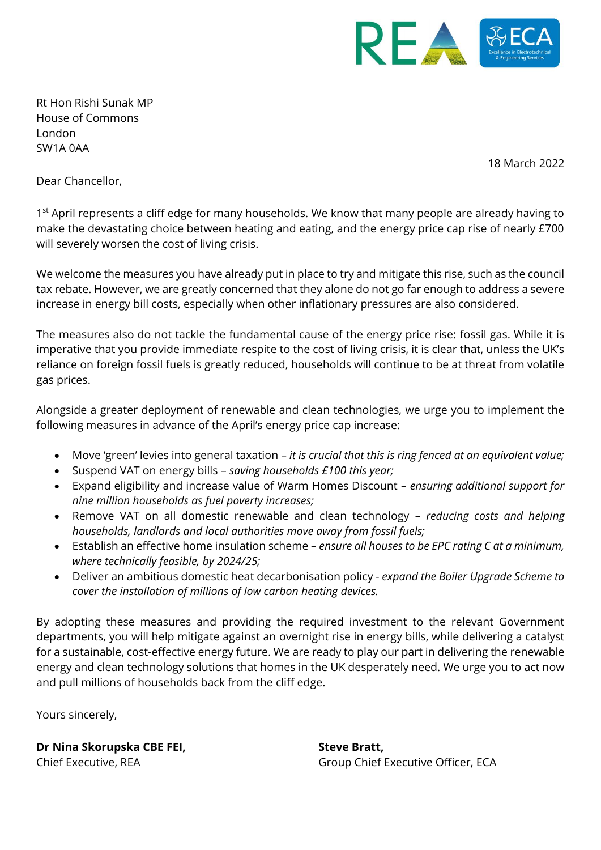

Rt Hon Rishi Sunak MP House of Commons London SW1A 0AA

18 March 2022

Dear Chancellor,

1<sup>st</sup> April represents a cliff edge for many households. We know that many people are already having to make the devastating choice between heating and eating, and the energy price cap rise of nearly £700 will severely worsen the cost of living crisis.

We welcome the measures you have already put in place to try and mitigate this rise, such as the council tax rebate. However, we are greatly concerned that they alone do not go far enough to address a severe increase in energy bill costs, especially when other inflationary pressures are also considered.

The measures also do not tackle the fundamental cause of the energy price rise: fossil gas. While it is imperative that you provide immediate respite to the cost of living crisis, it is clear that, unless the UK's reliance on foreign fossil fuels is greatly reduced, households will continue to be at threat from volatile gas prices.

Alongside a greater deployment of renewable and clean technologies, we urge you to implement the following measures in advance of the April's energy price cap increase:

- Move 'green' levies into general taxation *it is crucial that this is ring fenced at an equivalent value;*
- Suspend VAT on energy bills *saving households £100 this year;*
- Expand eligibility and increase value of Warm Homes Discount *ensuring additional support for nine million households as fuel poverty increases;*
- Remove VAT on all domestic renewable and clean technology *reducing costs and helping households, landlords and local authorities move away from fossil fuels;*
- Establish an effective home insulation scheme *ensure all houses to be EPC rating C at a minimum, where technically feasible, by 2024/25;*
- Deliver an ambitious domestic heat decarbonisation policy *expand the Boiler Upgrade Scheme to cover the installation of millions of low carbon heating devices.*

By adopting these measures and providing the required investment to the relevant Government departments, you will help mitigate against an overnight rise in energy bills, while delivering a catalyst for a sustainable, cost-effective energy future. We are ready to play our part in delivering the renewable energy and clean technology solutions that homes in the UK desperately need. We urge you to act now and pull millions of households back from the cliff edge.

Yours sincerely,

**Dr Nina Skorupska CBE FEI,** Chief Executive, REA

**Steve Bratt,** Group Chief Executive Officer, ECA